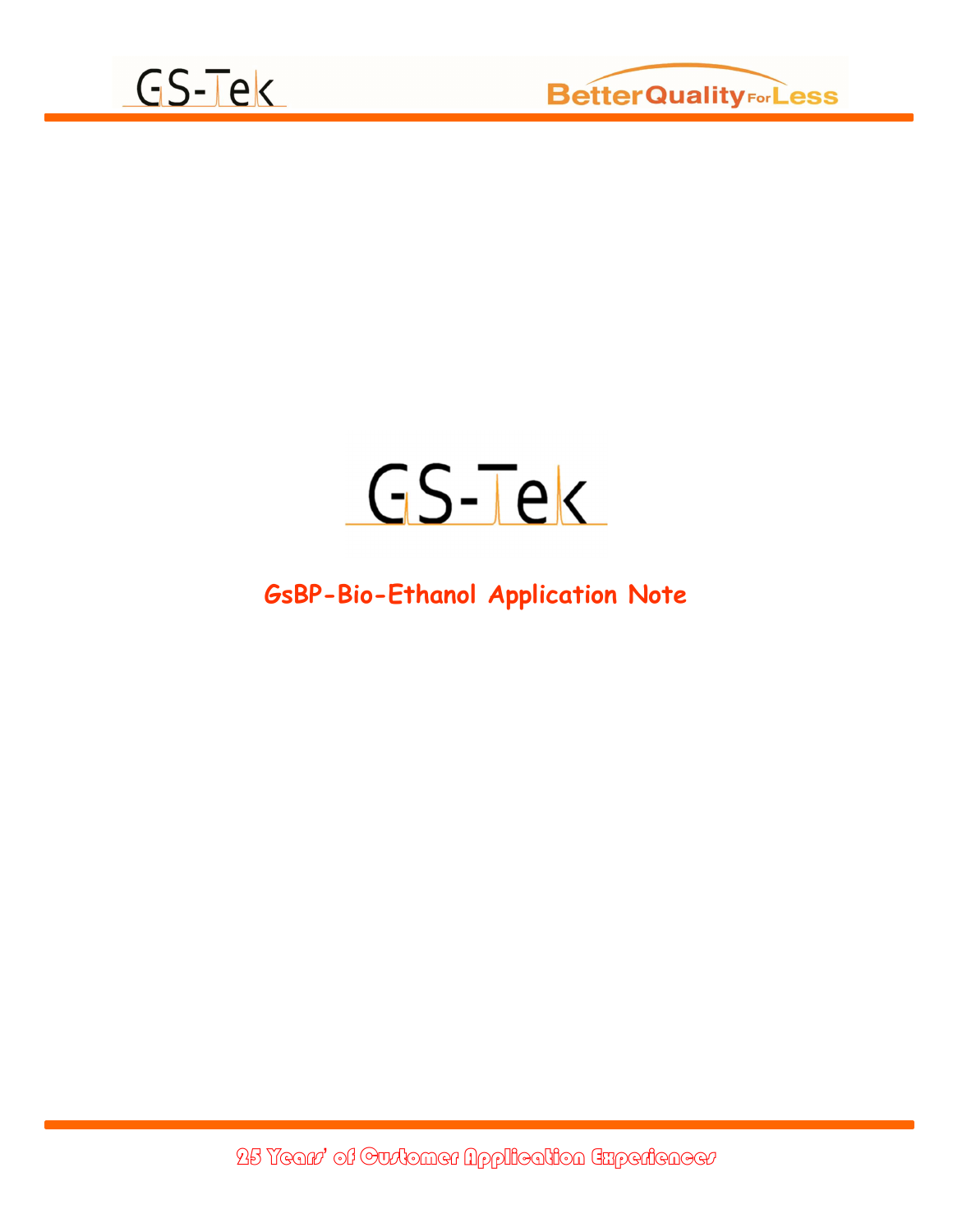



## GS-Tek

## GsBP-Bio-Ethanol Application Note

25 Years' of Customer Application Experiences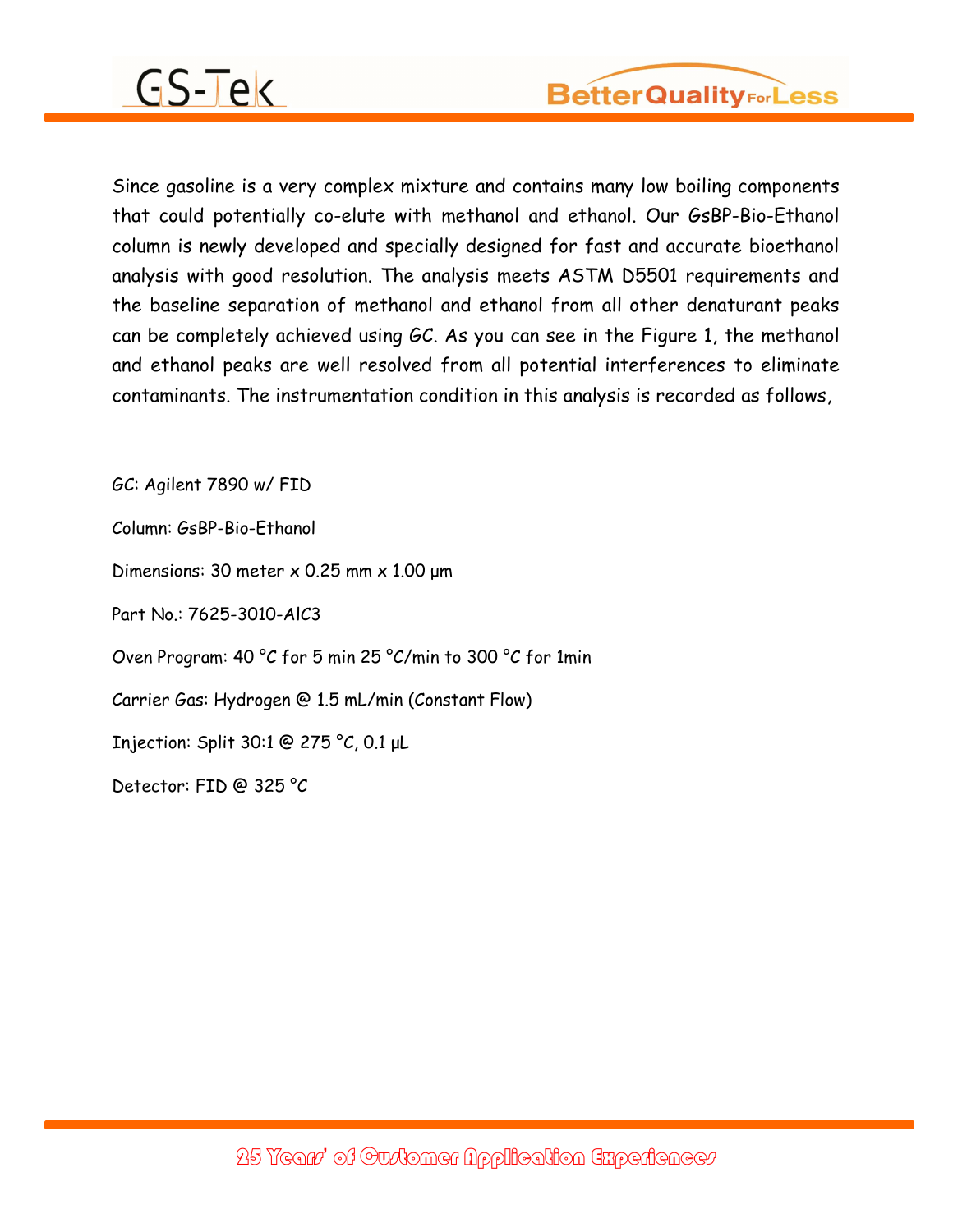## GS-Tek

Since gasoline is a very complex mixture and contains many low boiling components that could potentially co-elute with methanol and ethanol. Our GsBP-Bio-Ethanol column is newly developed and specially designed for fast and accurate bioethanol analysis with good resolution. The analysis meets ASTM D5501 requirements and the baseline separation of methanol and ethanol from all other denaturant peaks can be completely achieved using GC. As you can see in the Figure 1, the methanol and ethanol peaks are well resolved from all potential interferences to eliminate contaminants. The instrumentation condition in this analysis is recorded as follows,

GC: Agilent 7890 w/ FID Column: GsBP-Bio-Ethanol Dimensions: 30 meter x 0.25 mm x 1.00 μm Part No.: 7625-3010-AlC3 Oven Program: 40 °C for 5 min 25 °C/min to 300 °C for 1min Carrier Gas: Hydrogen @ 1.5 mL/min (Constant Flow) Injection: Split 30:1 @ 275 °C, 0.1 μL Detector: FID @ 325 °C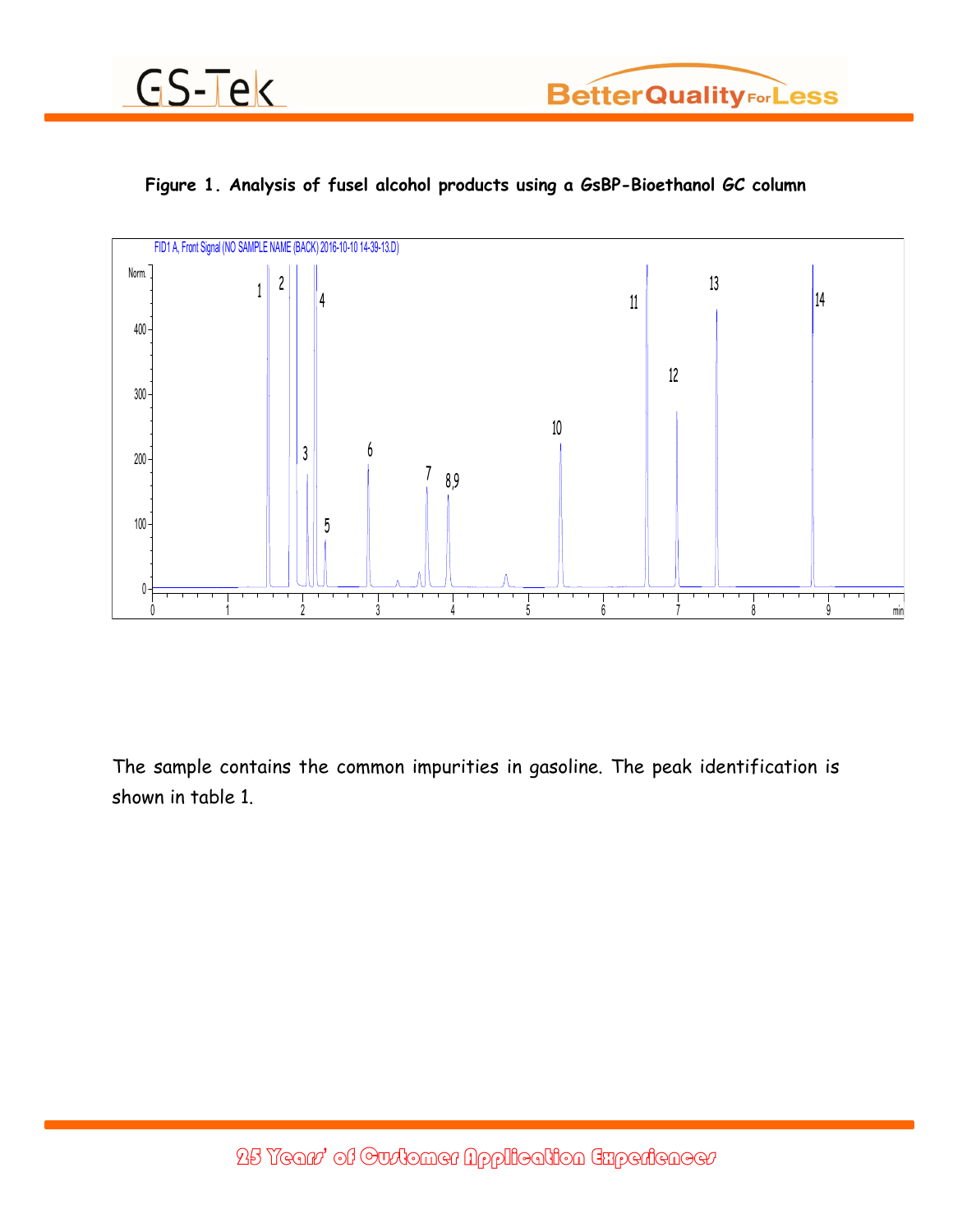







The sample contains the common impurities in gasoline. The peak identification is shown in table 1.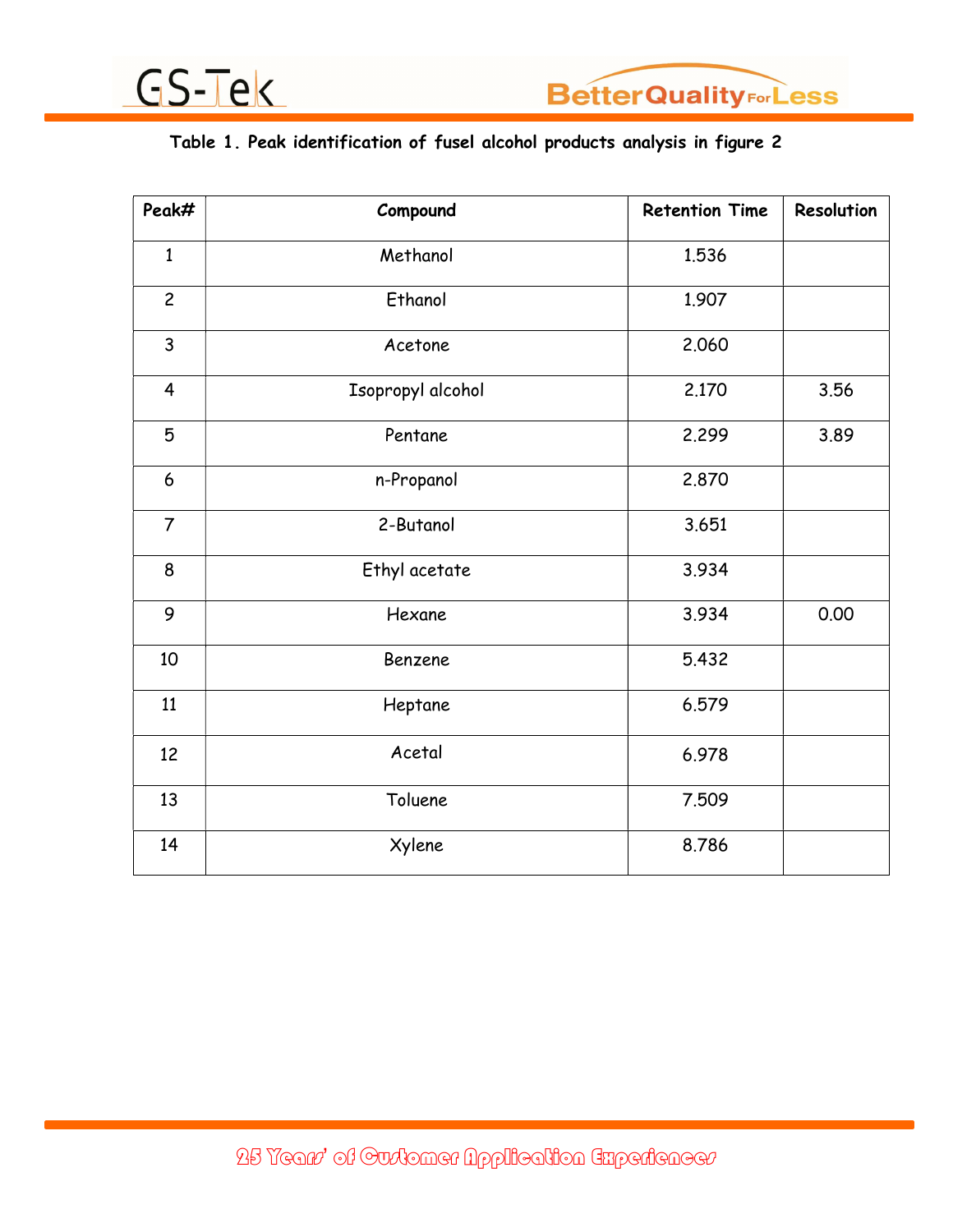



## Table 1. Peak identification of fusel alcohol products analysis in figure 2

| Peak#                   | Compound          | <b>Retention Time</b> | Resolution |
|-------------------------|-------------------|-----------------------|------------|
| $\mathbf{1}$            | Methanol          | 1.536                 |            |
| $\overline{c}$          | Ethanol           | 1.907                 |            |
| 3                       | Acetone           | 2.060                 |            |
| $\overline{\mathbf{4}}$ | Isopropyl alcohol | 2.170                 | 3.56       |
| 5                       | Pentane           | 2.299                 | 3.89       |
| 6                       | n-Propanol        | 2.870                 |            |
| $\overline{7}$          | 2-Butanol         | 3.651                 |            |
| 8                       | Ethyl acetate     | 3.934                 |            |
| 9                       | Hexane            | 3.934                 | 0.00       |
| 10                      | Benzene           | 5.432                 |            |
| 11                      | Heptane           | 6.579                 |            |
| 12                      | Acetal            | 6.978                 |            |
| 13                      | Toluene           | 7.509                 |            |
| 14                      | Xylene            | 8.786                 |            |